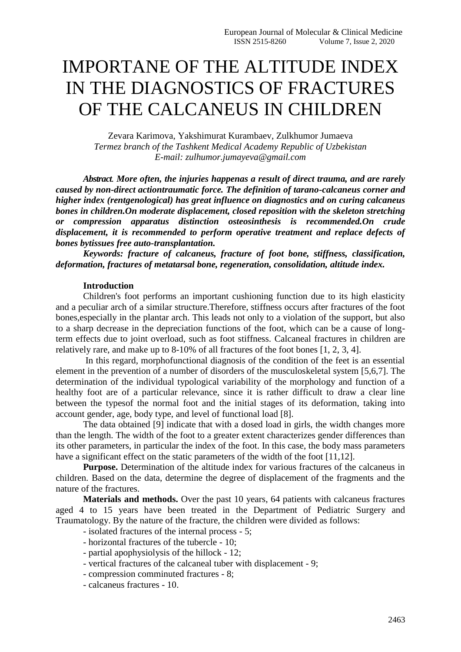# IMPORTANE OF THE ALTITUDE INDEX IN THE DIAGNOSTICS OF FRACTURES OF THE CALCANEUS IN CHILDREN

Zevara Karimova, Yakshimurat Kurambaev, Zulkhumor Jumaeva *Termez branch of the Tashkent Medical Academy Republic of Uzbekistan E-mail: zulhumor.jumayeva@gmail.com*

*Abstract. More often, the injuries happenas a result of direct trauma, and are rarely caused by non-direct actiontraumatic force. The definition of tarano-calcaneus corner and higher index (rentgenological) has great influence on diagnostics and on curing calcaneus bones in children.On moderate displacement, closed reposition with the skeleton stretching or compression apparatus distinction osteosinthesis is recommended.On crude displacement, it is recommended to perform operative treatment and replace defects of bones bytissues free auto-transplantation.*

*Keywords: fracture of calcaneus, fracture of foot bone, stiffness, classification, deformation, fractures of metatarsal bone, regeneration, consolidation, altitude index.*

#### **Introduction**

Children's foot performs an important cushioning function due to its high elasticity and a peculiar arch of a similar structure.Therefore, stiffness occurs after fractures of the foot bones,especially in the plantar arch. This leads not only to a violation of the support, but also to a sharp decrease in the depreciation functions of the foot, which can be a cause of longterm effects due to joint overload, such as foot stiffness. Calcaneal fractures in children are relatively rare, and make up to 8-10% of all fractures of the foot bones [1, 2, 3, 4].

In this regard, morphofunctional diagnosis of the condition of the feet is an essential element in the prevention of a number of disorders of the musculoskeletal system [5,6,7]. The determination of the individual typological variability of the morphology and function of a healthy foot are of a particular relevance, since it is rather difficult to draw a clear line between the typesof the normal foot and the initial stages of its deformation, taking into account gender, age, body type, and level of functional load [8].

The data obtained [9] indicate that with a dosed load in girls, the width changes more than the length. The width of the foot to a greater extent characterizes gender differences than its other parameters, in particular the index of the foot. In this case, the body mass parameters have a significant effect on the static parameters of the width of the foot [11,12].

**Purpose.** Determination of the altitude index for various fractures of the calcaneus in children. Based on the data, determine the degree of displacement of the fragments and the nature of the fractures.

**Materials and methods.** Over the past 10 years, 64 patients with calcaneus fractures aged 4 to 15 years have been treated in the Department of Pediatric Surgery and Traumatology. By the nature of the fracture, the children were divided as follows:

- isolated fractures of the internal process 5;
- horizontal fractures of the tubercle 10;
- partial apophysiolysis of the hillock 12;
- vertical fractures of the calcaneal tuber with displacement 9;
- compression comminuted fractures 8;
- calcaneus fractures 10.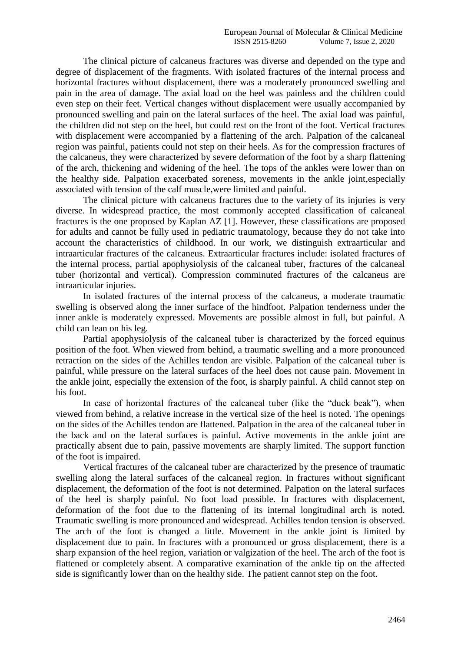The clinical picture of calcaneus fractures was diverse and depended on the type and degree of displacement of the fragments. With isolated fractures of the internal process and horizontal fractures without displacement, there was a moderately pronounced swelling and pain in the area of damage. The axial load on the heel was painless and the children could even step on their feet. Vertical changes without displacement were usually accompanied by pronounced swelling and pain on the lateral surfaces of the heel. The axial load was painful, the children did not step on the heel, but could rest on the front of the foot. Vertical fractures with displacement were accompanied by a flattening of the arch. Palpation of the calcaneal region was painful, patients could not step on their heels. As for the compression fractures of the calcaneus, they were characterized by severe deformation of the foot by a sharp flattening of the arch, thickening and widening of the heel. The tops of the ankles were lower than on the healthy side. Palpation exacerbated soreness, movements in the ankle joint,especially associated with tension of the calf muscle,were limited and painful.

The clinical picture with calcaneus fractures due to the variety of its injuries is very diverse. In widespread practice, the most commonly accepted classification of calcaneal fractures is the one proposed by Kaplan AZ [1]. However, these classifications are proposed for adults and cannot be fully used in pediatric traumatology, because they do not take into account the characteristics of childhood. In our work, we distinguish extraarticular and intraarticular fractures of the calcaneus. Extraarticular fractures include: isolated fractures of the internal process, partial apophysiolysis of the calcaneal tuber, fractures of the calcaneal tuber (horizontal and vertical). Compression comminuted fractures of the calcaneus are intraarticular injuries.

In isolated fractures of the internal process of the calcaneus, a moderate traumatic swelling is observed along the inner surface of the hindfoot. Palpation tenderness under the inner ankle is moderately expressed. Movements are possible almost in full, but painful. A child can lean on his leg.

Partial apophysiolysis of the calcaneal tuber is characterized by the forced equinus position of the foot. When viewed from behind, a traumatic swelling and a more pronounced retraction on the sides of the Achilles tendon are visible. Palpation of the calcaneal tuber is painful, while pressure on the lateral surfaces of the heel does not cause pain. Movement in the ankle joint, especially the extension of the foot, is sharply painful. A child cannot step on his foot.

In case of horizontal fractures of the calcaneal tuber (like the "duck beak"), when viewed from behind, a relative increase in the vertical size of the heel is noted. The openings on the sides of the Achilles tendon are flattened. Palpation in the area of the calcaneal tuber in the back and on the lateral surfaces is painful. Active movements in the ankle joint are practically absent due to pain, passive movements are sharply limited. The support function of the foot is impaired.

Vertical fractures of the calcaneal tuber are characterized by the presence of traumatic swelling along the lateral surfaces of the calcaneal region. In fractures without significant displacement, the deformation of the foot is not determined. Palpation on the lateral surfaces of the heel is sharply painful. No foot load possible. In fractures with displacement, deformation of the foot due to the flattening of its internal longitudinal arch is noted. Traumatic swelling is more pronounced and widespread. Achilles tendon tension is observed. The arch of the foot is changed a little. Movement in the ankle joint is limited by displacement due to pain. In fractures with a pronounced or gross displacement, there is a sharp expansion of the heel region, variation or valgization of the heel. The arch of the foot is flattened or completely absent. A comparative examination of the ankle tip on the affected side is significantly lower than on the healthy side. The patient cannot step on the foot.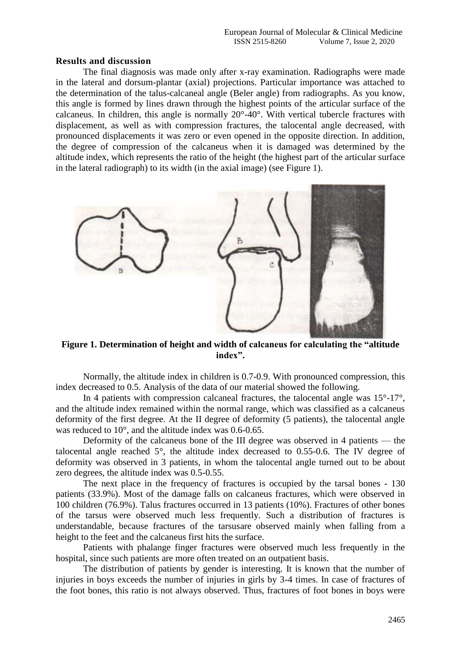#### **Results and discussion**

The final diagnosis was made only after x-ray examination. Radiographs were made in the lateral and dorsum-plantar (axial) projections. Particular importance was attached to the determination of the talus-calcaneal angle (Beler angle) from radiographs. As you know, this angle is formed by lines drawn through the highest points of the articular surface of the calcaneus. In children, this angle is normally 20°-40°. With vertical tubercle fractures with displacement, as well as with compression fractures, the talocental angle decreased, with pronounced displacements it was zero or even opened in the opposite direction. In addition, the degree of compression of the calcaneus when it is damaged was determined by the altitude index, which represents the ratio of the height (the highest part of the articular surface in the lateral radiograph) to its width (in the axial image) (see Figure 1).



**Figure 1. Determination of height and width of calcaneus for calculating the "altitude index".**

Normally, the altitude index in children is 0.7-0.9. With pronounced compression, this index decreased to 0.5. Analysis of the data of our material showed the following.

In 4 patients with compression calcaneal fractures, the talocental angle was  $15^{\circ}$ -17°, and the altitude index remained within the normal range, which was classified as a calcaneus deformity of the first degree. At the II degree of deformity (5 patients), the talocental angle was reduced to 10°, and the altitude index was 0.6-0.65.

Deformity of the calcaneus bone of the III degree was observed in 4 patients — the talocental angle reached 5°, the altitude index decreased to 0.55-0.6. The IV degree of deformity was observed in 3 patients, in whom the talocental angle turned out to be about zero degrees, the altitude index was 0.5-0.55.

The next place in the frequency of fractures is occupied by the tarsal bones - 130 patients (33.9%). Most of the damage falls on calcaneus fractures, which were observed in 100 children (76.9%). Talus fractures occurred in 13 patients (10%). Fractures of other bones of the tarsus were observed much less frequently. Such a distribution of fractures is understandable, because fractures of the tarsusare observed mainly when falling from a height to the feet and the calcaneus first hits the surface.

Patients with phalange finger fractures were observed much less frequently in the hospital, since such patients are more often treated on an outpatient basis.

The distribution of patients by gender is interesting. It is known that the number of injuries in boys exceeds the number of injuries in girls by 3-4 times. In case of fractures of the foot bones, this ratio is not always observed. Thus, fractures of foot bones in boys were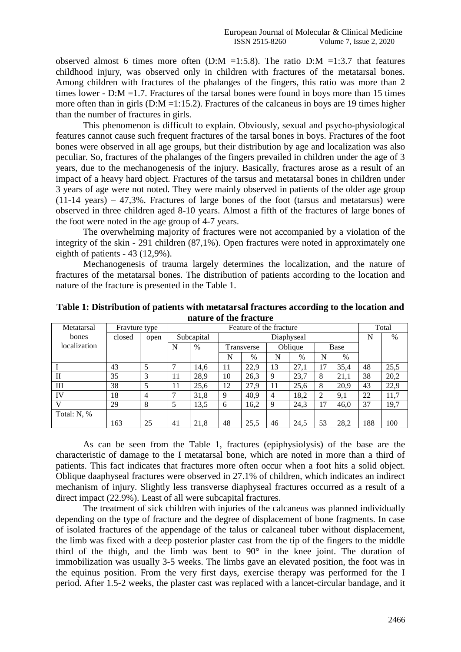observed almost 6 times more often  $(D:M = 1:5.8)$ . The ratio  $D:M = 1:3.7$  that features childhood injury, was observed only in children with fractures of the metatarsal bones. Among children with fractures of the phalanges of the fingers, this ratio was more than 2 times lower - D:M = 1.7. Fractures of the tarsal bones were found in boys more than 15 times more often than in girls (D:M =1:15.2). Fractures of the calcaneus in boys are 19 times higher than the number of fractures in girls.

This phenomenon is difficult to explain. Obviously, sexual and psycho-physiological features cannot cause such frequent fractures of the tarsal bones in boys. Fractures of the foot bones were observed in all age groups, but their distribution by age and localization was also peculiar. So, fractures of the phalanges of the fingers prevailed in children under the age of 3 years, due to the mechanogenesis of the injury. Basically, fractures arose as a result of an impact of a heavy hard object. Fractures of the tarsus and metatarsal bones in children under 3 years of age were not noted. They were mainly observed in patients of the older age group  $(11-14 \text{ years}) - 47,3\%$ . Fractures of large bones of the foot (tarsus and metatarsus) were observed in three children aged 8-10 years. Almost a fifth of the fractures of large bones of the foot were noted in the age group of 4-7 years.

The overwhelming majority of fractures were not accompanied by a violation of the integrity of the skin - 291 children (87,1%). Open fractures were noted in approximately one eighth of patients - 43 (12,9%).

Mechanogenesis of trauma largely determines the localization, and the nature of fractures of the metatarsal bones. The distribution of patients according to the location and nature of the fracture is presented in the Table 1.

| Metatarsal   | Fravture type |                | Feature of the fracture |            |            |      |         |      |      |      | Total |      |
|--------------|---------------|----------------|-------------------------|------------|------------|------|---------|------|------|------|-------|------|
| bones        | closed        | open           |                         | Subcapital | Diaphyseal |      |         |      |      |      | N     | $\%$ |
| localization |               |                | $\%$<br>N               |            | Transverse |      | Oblique |      | Base |      |       |      |
|              |               |                |                         |            | N          | %    | N       | $\%$ | N    | $\%$ |       |      |
|              | 43            | 5              |                         | 14,6       | 11         | 22.9 | 13      | 27.1 | 17   | 35,4 | 48    | 25,5 |
| $_{\rm II}$  | 35            | 3              | 11                      | 28.9       | 10         | 26.3 | 9       | 23.7 | 8    | 21.1 | 38    | 20,2 |
| Ш            | 38            | 5              | 11                      | 25,6       | 12         | 27,9 | 11      | 25,6 | 8    | 20.9 | 43    | 22,9 |
| IV           | 18            | $\overline{4}$ |                         | 31,8       | 9          | 40,9 | 4       | 18,2 | 2    | 9,1  | 22    | 11,7 |
| V            | 29            | 8              | 5                       | 13,5       | 6          | 16,2 | 9       | 24,3 | 17   | 46,0 | 37    | 19,7 |
| Total: N, %  |               |                |                         |            |            |      |         |      |      |      |       |      |
|              | 163           | 25             | 41                      | 21,8       | 48         | 25.5 | 46      | 24.5 | 53   | 28.2 | 188   | 100  |

**Table 1: Distribution of patients with metatarsal fractures according to the location and nature of the fracture**

As can be seen from the Table 1, fractures (epiphysiolysis) of the base are the characteristic of damage to the I metatarsal bone, which are noted in more than a third of patients. This fact indicates that fractures more often occur when a foot hits a solid object. Oblique daaphyseal fractures were observed in 27.1% of children, which indicates an indirect mechanism of injury. Slightly less transverse diaphyseal fractures occurred as a result of a direct impact (22.9%). Least of all were subcapital fractures.

The treatment of sick children with injuries of the calcaneus was planned individually depending on the type of fracture and the degree of displacement of bone fragments. In case of isolated fractures of the appendage of the talus or calcaneal tuber without displacement, the limb was fixed with a deep posterior plaster cast from the tip of the fingers to the middle third of the thigh, and the limb was bent to 90° in the knee joint. The duration of immobilization was usually 3-5 weeks. The limbs gave an elevated position, the foot was in the equinus position. From the very first days, exercise therapy was performed for the I period. After 1.5-2 weeks, the plaster cast was replaced with a lancet-circular bandage, and it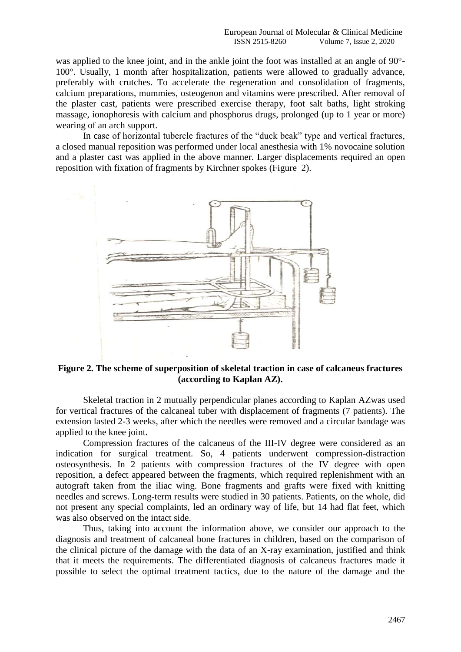was applied to the knee joint, and in the ankle joint the foot was installed at an angle of 90°- 100°. Usually, 1 month after hospitalization, patients were allowed to gradually advance, preferably with crutches. To accelerate the regeneration and consolidation of fragments, calcium preparations, mummies, osteogenon and vitamins were prescribed. After removal of the plaster cast, patients were prescribed exercise therapy, foot salt baths, light stroking massage, ionophoresis with calcium and phosphorus drugs, prolonged (up to 1 year or more) wearing of an arch support.

In case of horizontal tubercle fractures of the "duck beak" type and vertical fractures, a closed manual reposition was performed under local anesthesia with 1% novocaine solution and a plaster cast was applied in the above manner. Larger displacements required an open reposition with fixation of fragments by Kirchner spokes (Figure 2).



### **Figure 2. The scheme of superposition of skeletal traction in case of calcaneus fractures (according to Kaplan AZ).**

Skeletal traction in 2 mutually perpendicular planes according to Kaplan AZwas used for vertical fractures of the calcaneal tuber with displacement of fragments (7 patients). The extension lasted 2-3 weeks, after which the needles were removed and a circular bandage was applied to the knee joint.

Compression fractures of the calcaneus of the III-IV degree were considered as an indication for surgical treatment. So, 4 patients underwent compression-distraction osteosynthesis. In 2 patients with compression fractures of the IV degree with open reposition, a defect appeared between the fragments, which required replenishment with an autograft taken from the iliac wing. Bone fragments and grafts were fixed with knitting needles and screws. Long-term results were studied in 30 patients. Patients, on the whole, did not present any special complaints, led an ordinary way of life, but 14 had flat feet, which was also observed on the intact side.

Thus, taking into account the information above, we consider our approach to the diagnosis and treatment of calcaneal bone fractures in children, based on the comparison of the clinical picture of the damage with the data of an X-ray examination, justified and think that it meets the requirements. The differentiated diagnosis of calcaneus fractures made it possible to select the optimal treatment tactics, due to the nature of the damage and the